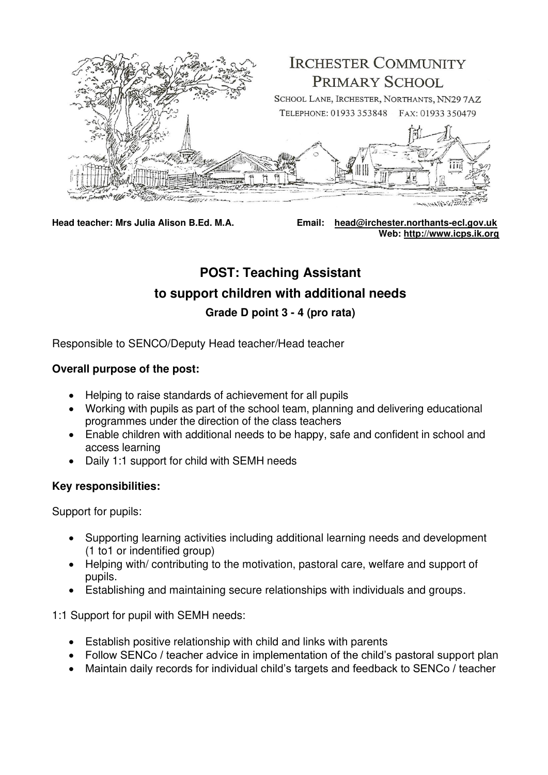

**Head teacher: Mrs Julia Alison B.Ed. M.A. Email: [head@irchester.northants-ecl.gov.uk](mailto:head@irchester.northants-ecl.gov.uk)  Web: [http://www.icps.ik.org](http://www.icps.ik.org/)** 

## **POST: Teaching Assistant to support children with additional needs Grade D point 3 - 4 (pro rata)**

Responsible to SENCO/Deputy Head teacher/Head teacher

## **Overall purpose of the post:**

- Helping to raise standards of achievement for all pupils
- Working with pupils as part of the school team, planning and delivering educational programmes under the direction of the class teachers
- Enable children with additional needs to be happy, safe and confident in school and access learning
- Daily 1:1 support for child with SEMH needs

## **Key responsibilities:**

Support for pupils:

- Supporting learning activities including additional learning needs and development (1 to1 or indentified group)
- Helping with/ contributing to the motivation, pastoral care, welfare and support of pupils.
- Establishing and maintaining secure relationships with individuals and groups.

1:1 Support for pupil with SEMH needs:

- Establish positive relationship with child and links with parents
- Follow SENCo / teacher advice in implementation of the child's pastoral support plan
- Maintain daily records for individual child's targets and feedback to SENCo / teacher